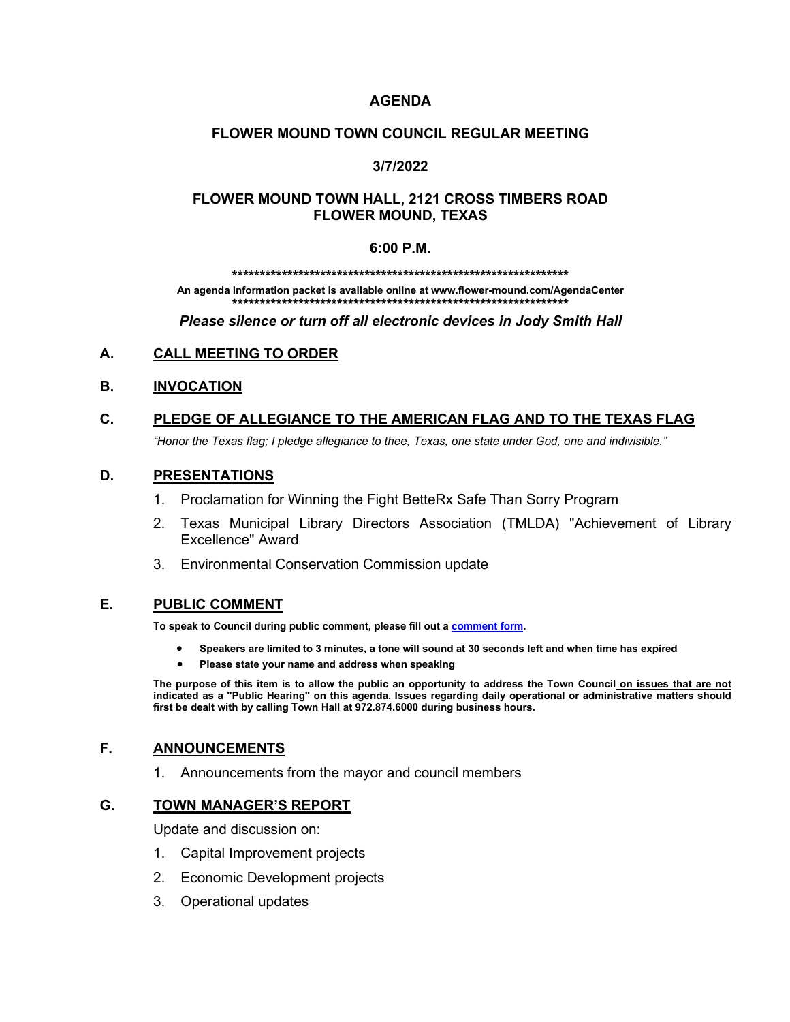# **AGENDA**

## **FLOWER MOUND TOWN COUNCIL REGULAR MEETING**

# **3/7/2022**

# **FLOWER MOUND TOWN HALL, 2121 CROSS TIMBERS ROAD FLOWER MOUND, TEXAS**

#### **6:00 P.M.**

**\*\*\*\*\*\*\*\*\*\*\*\*\*\*\*\*\*\*\*\*\*\*\*\*\*\*\*\*\*\*\*\*\*\*\*\*\*\*\*\*\*\*\*\*\*\*\*\*\*\*\*\*\*\*\*\*\*\*\*\*\***

**An agenda information packet is available online at www.flower-mound.com/AgendaCenter \*\*\*\*\*\*\*\*\*\*\*\*\*\*\*\*\*\*\*\*\*\*\*\*\*\*\*\*\*\*\*\*\*\*\*\*\*\*\*\*\*\*\*\*\*\*\*\*\*\*\*\*\*\*\*\*\*\*\*\*\***

*Please silence or turn off all electronic devices in Jody Smith Hall*

# **A. CALL MEETING TO ORDER**

## **B. INVOCATION**

# **C. PLEDGE OF ALLEGIANCE TO THE AMERICAN FLAG AND TO THE TEXAS FLAG**

*"Honor the Texas flag; I pledge allegiance to thee, Texas, one state under God, one and indivisible."*

## **D. PRESENTATIONS**

- 1. Proclamation for Winning the Fight BetteRx Safe Than Sorry Program
- 2. Texas Municipal Library Directors Association (TMLDA) "Achievement of Library Excellence" Award
- 3. Environmental Conservation Commission update

### **E. PUBLIC COMMENT**

**To speak to Council during public comment, please fill out a [comment form.](https://www.flower-mound.com/DocumentCenter/View/10425)** 

- **Speakers are limited to 3 minutes, a tone will sound at 30 seconds left and when time has expired**
- **Please state your name and address when speaking**

**The purpose of this item is to allow the public an opportunity to address the Town Council on issues that are not indicated as a "Public Hearing" on this agenda. Issues regarding daily operational or administrative matters should first be dealt with by calling Town Hall at 972.874.6000 during business hours.**

### **F. ANNOUNCEMENTS**

1. Announcements from the mayor and council members

### **G. TOWN MANAGER'S REPORT**

Update and discussion on:

- 1. Capital Improvement projects
- 2. Economic Development projects
- 3. Operational updates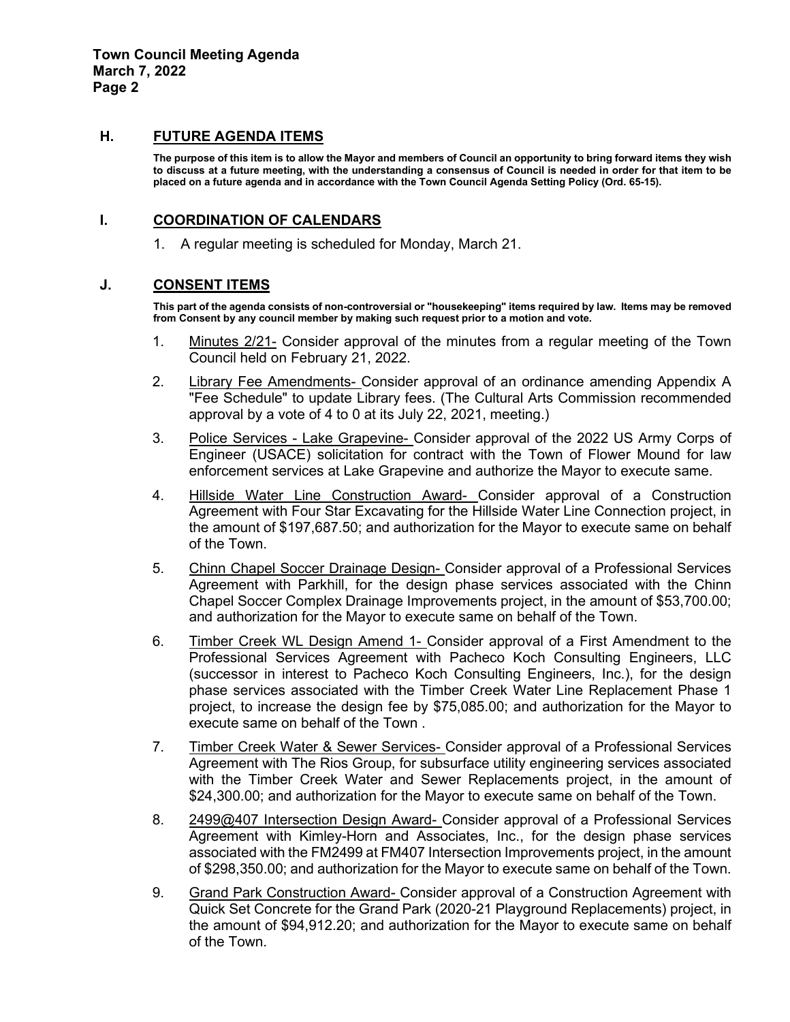### **H. FUTURE AGENDA ITEMS**

**The purpose of this item is to allow the Mayor and members of Council an opportunity to bring forward items they wish to discuss at a future meeting, with the understanding a consensus of Council is needed in order for that item to be placed on a future agenda and in accordance with the Town Council Agenda Setting Policy (Ord. 65-15).**

### **I. COORDINATION OF CALENDARS**

1. A regular meeting is scheduled for Monday, March 21.

# **J. CONSENT ITEMS**

**This part of the agenda consists of non-controversial or "housekeeping" items required by law. Items may be removed from Consent by any council member by making such request prior to a motion and vote.** 

- 1. Minutes 2/21- Consider approval of the minutes from a regular meeting of the Town Council held on February 21, 2022.
- 2. Library Fee Amendments- Consider approval of an ordinance amending Appendix A "Fee Schedule" to update Library fees. (The Cultural Arts Commission recommended approval by a vote of 4 to 0 at its July 22, 2021, meeting.)
- 3. Police Services Lake Grapevine- Consider approval of the 2022 US Army Corps of Engineer (USACE) solicitation for contract with the Town of Flower Mound for law enforcement services at Lake Grapevine and authorize the Mayor to execute same.
- 4. Hillside Water Line Construction Award- Consider approval of a Construction Agreement with Four Star Excavating for the Hillside Water Line Connection project, in the amount of \$197,687.50; and authorization for the Mayor to execute same on behalf of the Town.
- 5. Chinn Chapel Soccer Drainage Design- Consider approval of a Professional Services Agreement with Parkhill, for the design phase services associated with the Chinn Chapel Soccer Complex Drainage Improvements project, in the amount of \$53,700.00; and authorization for the Mayor to execute same on behalf of the Town.
- 6. Timber Creek WL Design Amend 1- Consider approval of a First Amendment to the Professional Services Agreement with Pacheco Koch Consulting Engineers, LLC (successor in interest to Pacheco Koch Consulting Engineers, Inc.), for the design phase services associated with the Timber Creek Water Line Replacement Phase 1 project, to increase the design fee by \$75,085.00; and authorization for the Mayor to execute same on behalf of the Town .
- 7. Timber Creek Water & Sewer Services- Consider approval of a Professional Services Agreement with The Rios Group, for subsurface utility engineering services associated with the Timber Creek Water and Sewer Replacements project, in the amount of \$24,300.00; and authorization for the Mayor to execute same on behalf of the Town.
- 8. 2499@407 Intersection Design Award- Consider approval of a Professional Services Agreement with Kimley-Horn and Associates, Inc., for the design phase services associated with the FM2499 at FM407 Intersection Improvements project, in the amount of \$298,350.00; and authorization for the Mayor to execute same on behalf of the Town.
- 9. Grand Park Construction Award- Consider approval of a Construction Agreement with Quick Set Concrete for the Grand Park (2020-21 Playground Replacements) project, in the amount of \$94,912.20; and authorization for the Mayor to execute same on behalf of the Town.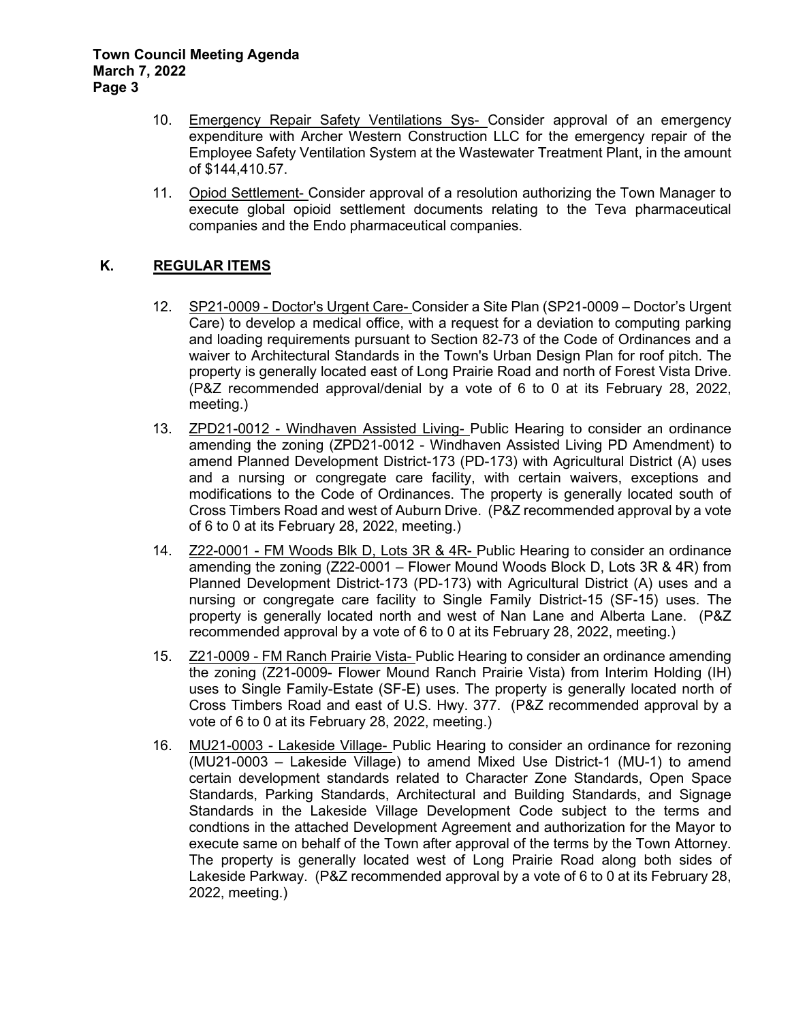- 10. Emergency Repair Safety Ventilations Sys- Consider approval of an emergency expenditure with Archer Western Construction LLC for the emergency repair of the Employee Safety Ventilation System at the Wastewater Treatment Plant, in the amount of \$144,410.57.
- 11. Opiod Settlement- Consider approval of a resolution authorizing the Town Manager to execute global opioid settlement documents relating to the Teva pharmaceutical companies and the Endo pharmaceutical companies.

# **K. REGULAR ITEMS**

- 12. SP21-0009 Doctor's Urgent Care- Consider a Site Plan (SP21-0009 Doctor's Urgent Care) to develop a medical office, with a request for a deviation to computing parking and loading requirements pursuant to Section 82-73 of the Code of Ordinances and a waiver to Architectural Standards in the Town's Urban Design Plan for roof pitch. The property is generally located east of Long Prairie Road and north of Forest Vista Drive. (P&Z recommended approval/denial by a vote of 6 to 0 at its February 28, 2022, meeting.)
- 13. ZPD21-0012 Windhaven Assisted Living- Public Hearing to consider an ordinance amending the zoning (ZPD21-0012 - Windhaven Assisted Living PD Amendment) to amend Planned Development District-173 (PD-173) with Agricultural District (A) uses and a nursing or congregate care facility, with certain waivers, exceptions and modifications to the Code of Ordinances. The property is generally located south of Cross Timbers Road and west of Auburn Drive. (P&Z recommended approval by a vote of 6 to 0 at its February 28, 2022, meeting.)
- 14. Z22-0001 FM Woods Blk D, Lots 3R & 4R- Public Hearing to consider an ordinance amending the zoning (Z22-0001 – Flower Mound Woods Block D, Lots 3R & 4R) from Planned Development District-173 (PD-173) with Agricultural District (A) uses and a nursing or congregate care facility to Single Family District-15 (SF-15) uses. The property is generally located north and west of Nan Lane and Alberta Lane. (P&Z recommended approval by a vote of 6 to 0 at its February 28, 2022, meeting.)
- 15. Z21-0009 FM Ranch Prairie Vista- Public Hearing to consider an ordinance amending the zoning (Z21-0009- Flower Mound Ranch Prairie Vista) from Interim Holding (IH) uses to Single Family-Estate (SF-E) uses. The property is generally located north of Cross Timbers Road and east of U.S. Hwy. 377. (P&Z recommended approval by a vote of 6 to 0 at its February 28, 2022, meeting.)
- 16. MU21-0003 Lakeside Village- Public Hearing to consider an ordinance for rezoning (MU21-0003 – Lakeside Village) to amend Mixed Use District-1 (MU-1) to amend certain development standards related to Character Zone Standards, Open Space Standards, Parking Standards, Architectural and Building Standards, and Signage Standards in the Lakeside Village Development Code subject to the terms and condtions in the attached Development Agreement and authorization for the Mayor to execute same on behalf of the Town after approval of the terms by the Town Attorney. The property is generally located west of Long Prairie Road along both sides of Lakeside Parkway. (P&Z recommended approval by a vote of 6 to 0 at its February 28, 2022, meeting.)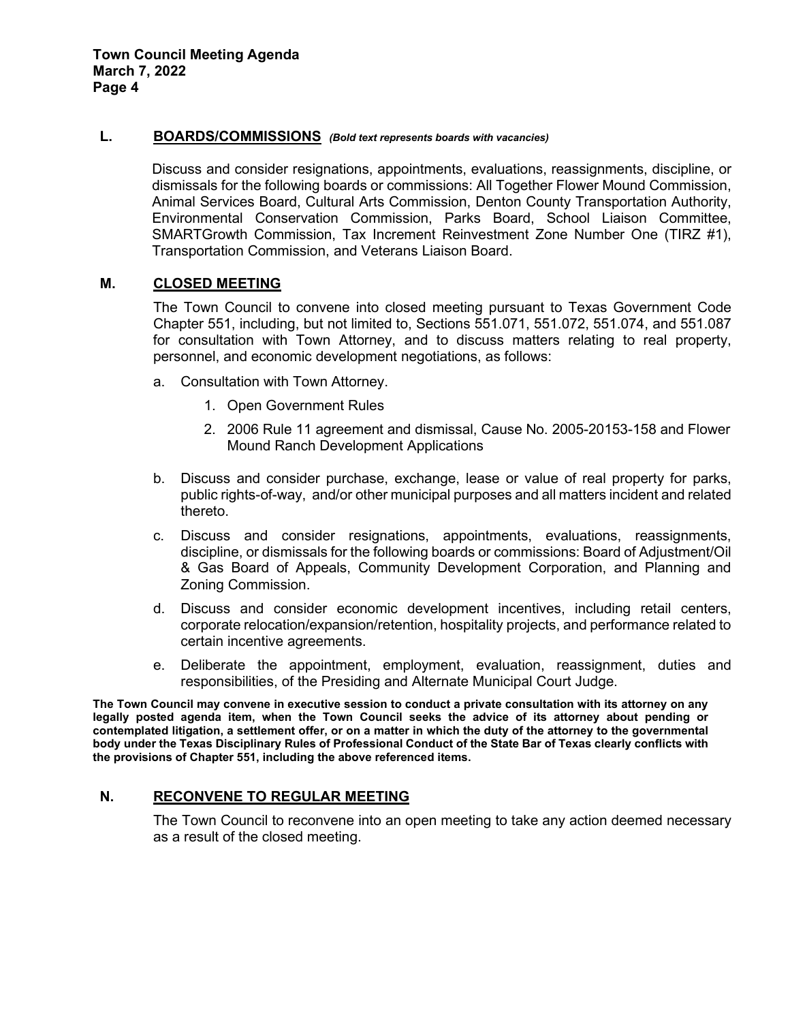#### **L. BOARDS/COMMISSIONS** *(Bold text represents boards with vacancies)*

Discuss and consider resignations, appointments, evaluations, reassignments, discipline, or dismissals for the following boards or commissions: All Together Flower Mound Commission, Animal Services Board, Cultural Arts Commission, Denton County Transportation Authority, Environmental Conservation Commission, Parks Board, School Liaison Committee, SMARTGrowth Commission, Tax Increment Reinvestment Zone Number One (TIRZ #1), Transportation Commission, and Veterans Liaison Board.

### **M. CLOSED MEETING**

The Town Council to convene into closed meeting pursuant to Texas Government Code Chapter 551, including, but not limited to, Sections 551.071, 551.072, 551.074, and 551.087 for consultation with Town Attorney, and to discuss matters relating to real property, personnel, and economic development negotiations, as follows:

- a. Consultation with Town Attorney.
	- 1. Open Government Rules
	- 2. 2006 Rule 11 agreement and dismissal, Cause No. 2005-20153-158 and Flower Mound Ranch Development Applications
- b. Discuss and consider purchase, exchange, lease or value of real property for parks, public rights-of-way, and/or other municipal purposes and all matters incident and related thereto.
- c. Discuss and consider resignations, appointments, evaluations, reassignments, discipline, or dismissals for the following boards or commissions: Board of Adjustment/Oil & Gas Board of Appeals, Community Development Corporation, and Planning and Zoning Commission.
- d. Discuss and consider economic development incentives, including retail centers, corporate relocation/expansion/retention, hospitality projects, and performance related to certain incentive agreements.
- e. Deliberate the appointment, employment, evaluation, reassignment, duties and responsibilities, of the Presiding and Alternate Municipal Court Judge.

**The Town Council may convene in executive session to conduct a private consultation with its attorney on any legally posted agenda item, when the Town Council seeks the advice of its attorney about pending or contemplated litigation, a settlement offer, or on a matter in which the duty of the attorney to the governmental body under the Texas Disciplinary Rules of Professional Conduct of the State Bar of Texas clearly conflicts with the provisions of Chapter 551, including the above referenced items.** 

## **N. RECONVENE TO REGULAR MEETING**

The Town Council to reconvene into an open meeting to take any action deemed necessary as a result of the closed meeting.